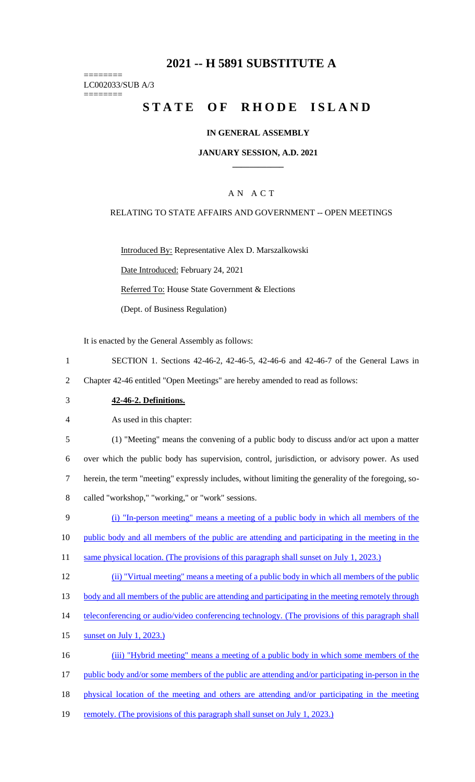# **2021 -- H 5891 SUBSTITUTE A**

======== LC002033/SUB A/3

========

# **STATE OF RHODE ISLAND**

#### **IN GENERAL ASSEMBLY**

#### **JANUARY SESSION, A.D. 2021 \_\_\_\_\_\_\_\_\_\_\_\_**

### A N A C T

#### RELATING TO STATE AFFAIRS AND GOVERNMENT -- OPEN MEETINGS

Introduced By: Representative Alex D. Marszalkowski Date Introduced: February 24, 2021 Referred To: House State Government & Elections (Dept. of Business Regulation)

It is enacted by the General Assembly as follows:

- 1 SECTION 1. Sections 42-46-2, 42-46-5, 42-46-6 and 42-46-7 of the General Laws in 2 Chapter 42-46 entitled "Open Meetings" are hereby amended to read as follows:
- 3 **42-46-2. Definitions.**

4 As used in this chapter:

 (1) "Meeting" means the convening of a public body to discuss and/or act upon a matter over which the public body has supervision, control, jurisdiction, or advisory power. As used herein, the term "meeting" expressly includes, without limiting the generality of the foregoing, so-called "workshop," "working," or "work" sessions.

9 (i) "In-person meeting" means a meeting of a public body in which all members of the

10 public body and all members of the public are attending and participating in the meeting in the

- 11 same physical location. (The provisions of this paragraph shall sunset on July 1, 2023.)
- 12 (ii) "Virtual meeting" means a meeting of a public body in which all members of the public

13 body and all members of the public are attending and participating in the meeting remotely through

- 14 teleconferencing or audio/video conferencing technology. (The provisions of this paragraph shall
- 15 sunset on July 1, 2023.)

16 (iii) "Hybrid meeting" means a meeting of a public body in which some members of the

17 public body and/or some members of the public are attending and/or participating in-person in the

18 physical location of the meeting and others are attending and/or participating in the meeting

19 remotely. (The provisions of this paragraph shall sunset on July 1, 2023.)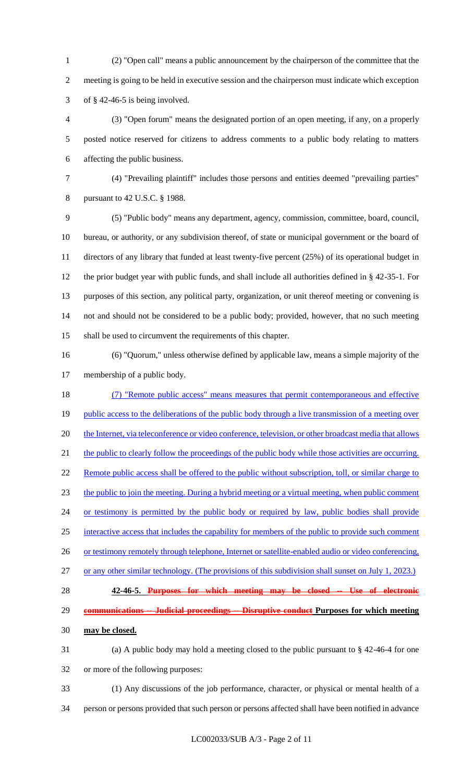(2) "Open call" means a public announcement by the chairperson of the committee that the meeting is going to be held in executive session and the chairperson must indicate which exception 3 of  $§$  42-46-5 is being involved.

 (3) "Open forum" means the designated portion of an open meeting, if any, on a properly posted notice reserved for citizens to address comments to a public body relating to matters affecting the public business.

 (4) "Prevailing plaintiff" includes those persons and entities deemed "prevailing parties" pursuant to 42 U.S.C. § 1988.

 (5) "Public body" means any department, agency, commission, committee, board, council, bureau, or authority, or any subdivision thereof, of state or municipal government or the board of directors of any library that funded at least twenty-five percent (25%) of its operational budget in the prior budget year with public funds, and shall include all authorities defined in § 42-35-1. For purposes of this section, any political party, organization, or unit thereof meeting or convening is not and should not be considered to be a public body; provided, however, that no such meeting shall be used to circumvent the requirements of this chapter.

 (6) "Quorum," unless otherwise defined by applicable law, means a simple majority of the membership of a public body.

 (7) "Remote public access" means measures that permit contemporaneous and effective 19 public access to the deliberations of the public body through a live transmission of a meeting over 20 the Internet, via teleconference or video conference, television, or other broadcast media that allows 21 the public to clearly follow the proceedings of the public body while those activities are occurring. 22 Remote public access shall be offered to the public without subscription, toll, or similar charge to the public to join the meeting. During a hybrid meeting or a virtual meeting, when public comment 24 or testimony is permitted by the public body or required by law, public bodies shall provide interactive access that includes the capability for members of the public to provide such comment 26 or testimony remotely through telephone, Internet or satellite-enabled audio or video conferencing, or any other similar technology. (The provisions of this subdivision shall sunset on July 1, 2023.) **42-46-5. Purposes for which meeting may be closed -- Use of electronic communications -- Judicial proceedings -- Disruptive conduct Purposes for which meeting** 

**may be closed.**

 (a) A public body may hold a meeting closed to the public pursuant to § 42-46-4 for one or more of the following purposes:

- (1) Any discussions of the job performance, character, or physical or mental health of a
- person or persons provided that such person or persons affected shall have been notified in advance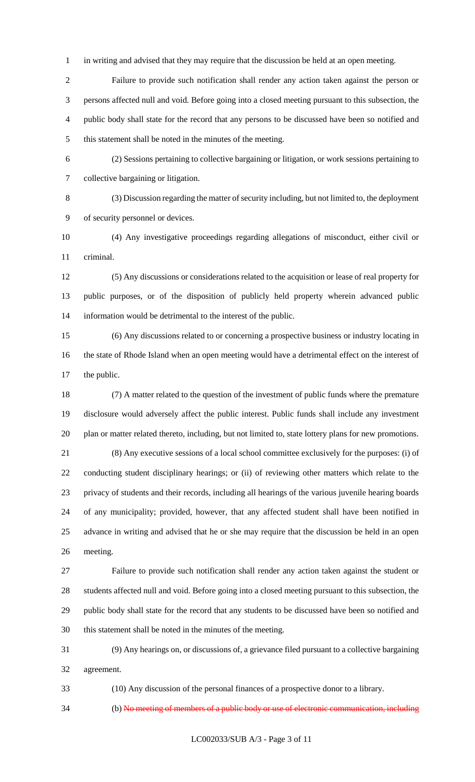in writing and advised that they may require that the discussion be held at an open meeting.

 Failure to provide such notification shall render any action taken against the person or persons affected null and void. Before going into a closed meeting pursuant to this subsection, the public body shall state for the record that any persons to be discussed have been so notified and this statement shall be noted in the minutes of the meeting.

 (2) Sessions pertaining to collective bargaining or litigation, or work sessions pertaining to collective bargaining or litigation.

 (3) Discussion regarding the matter of security including, but not limited to, the deployment of security personnel or devices.

 (4) Any investigative proceedings regarding allegations of misconduct, either civil or criminal.

 (5) Any discussions or considerations related to the acquisition or lease of real property for public purposes, or of the disposition of publicly held property wherein advanced public information would be detrimental to the interest of the public.

 (6) Any discussions related to or concerning a prospective business or industry locating in the state of Rhode Island when an open meeting would have a detrimental effect on the interest of the public.

 (7) A matter related to the question of the investment of public funds where the premature disclosure would adversely affect the public interest. Public funds shall include any investment plan or matter related thereto, including, but not limited to, state lottery plans for new promotions.

 (8) Any executive sessions of a local school committee exclusively for the purposes: (i) of conducting student disciplinary hearings; or (ii) of reviewing other matters which relate to the privacy of students and their records, including all hearings of the various juvenile hearing boards of any municipality; provided, however, that any affected student shall have been notified in advance in writing and advised that he or she may require that the discussion be held in an open meeting.

 Failure to provide such notification shall render any action taken against the student or students affected null and void. Before going into a closed meeting pursuant to this subsection, the public body shall state for the record that any students to be discussed have been so notified and this statement shall be noted in the minutes of the meeting.

 (9) Any hearings on, or discussions of, a grievance filed pursuant to a collective bargaining agreement.

(10) Any discussion of the personal finances of a prospective donor to a library.

(b) No meeting of members of a public body or use of electronic communication, including

LC002033/SUB A/3 - Page 3 of 11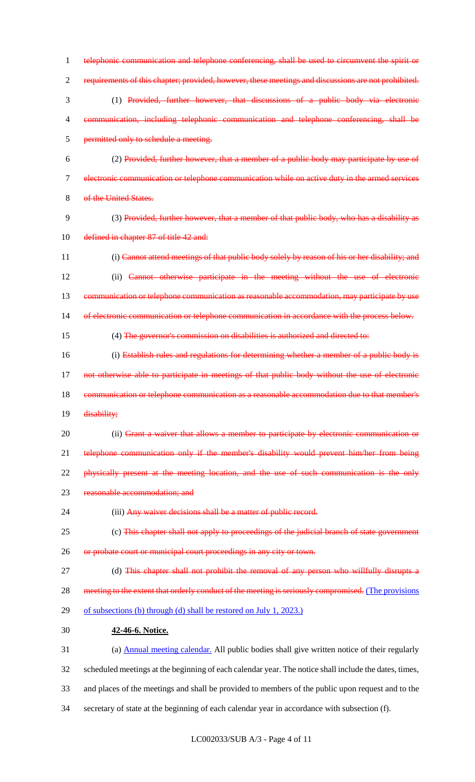1 telephonic communication and telephone conferencing, shall be used to circumvent the spirit or 2 requirements of this chapter; provided, however, these meetings and discussions are not prohibited. 3 (1) Provided, further however, that discussions of a public body via electronic 4 communication, including telephonic communication and telephone conferencing, shall be 5 permitted only to schedule a meeting. 6 (2) Provided, further however, that a member of a public body may participate by use of 7 electronic communication or telephone communication while on active duty in the armed services 8 of the United States. 9 (3) Provided, further however, that a member of that public body, who has a disability as 10 defined in chapter 87 of title 42 and: 11 (i) Cannot attend meetings of that public body solely by reason of his or her disability; and 12 (ii) Cannot otherwise participate in the meeting without the use of electronic 13 communication or telephone communication as reasonable accommodation, may participate by use 14 of electronic communication or telephone communication in accordance with the process below. 15 (4) The governor's commission on disabilities is authorized and directed to: 16 (i) Establish rules and regulations for determining whether a member of a public body is 17 not otherwise able to participate in meetings of that public body without the use of electronic 18 communication or telephone communication as a reasonable accommodation due to that member's 19 disability; 20 (ii) Grant a waiver that allows a member to participate by electronic communication or 21 telephone communication only if the member's disability would prevent him/her from being 22 physically present at the meeting location, and the use of such communication is the only 23 reasonable accommodation; and 24 (iii) Any waiver decisions shall be a matter of public record. 25 (c) This chapter shall not apply to proceedings of the judicial branch of state government 26 or probate court or municipal court proceedings in any city or town. 27 (d) This chapter shall not prohibit the removal of any person who willfully disrupts a 28 meeting to the extent that orderly conduct of the meeting is seriously compromised. (The provisions 29 of subsections (b) through (d) shall be restored on July 1, 2023.) 30 **42-46-6. Notice.** 31 (a) Annual meeting calendar. All public bodies shall give written notice of their regularly 32 scheduled meetings at the beginning of each calendar year. The notice shall include the dates, times, 33 and places of the meetings and shall be provided to members of the public upon request and to the 34 secretary of state at the beginning of each calendar year in accordance with subsection (f).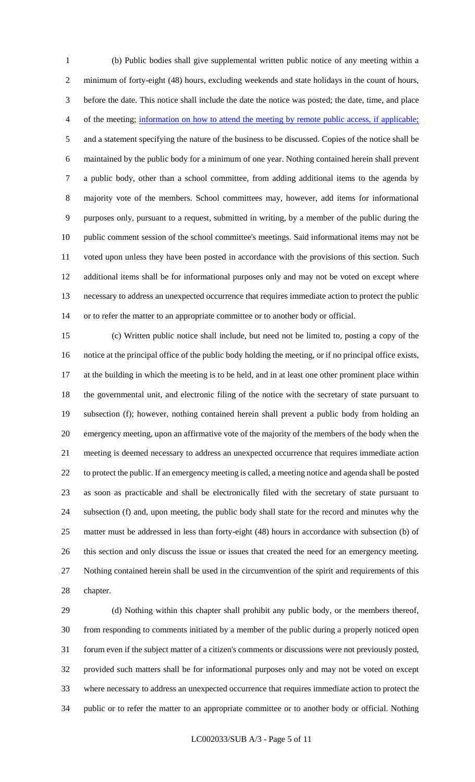(b) Public bodies shall give supplemental written public notice of any meeting within a minimum of forty-eight (48) hours, excluding weekends and state holidays in the count of hours, before the date. This notice shall include the date the notice was posted; the date, time, and place of the meeting; information on how to attend the meeting by remote public access, if applicable; and a statement specifying the nature of the business to be discussed. Copies of the notice shall be maintained by the public body for a minimum of one year. Nothing contained herein shall prevent a public body, other than a school committee, from adding additional items to the agenda by majority vote of the members. School committees may, however, add items for informational purposes only, pursuant to a request, submitted in writing, by a member of the public during the public comment session of the school committee's meetings. Said informational items may not be voted upon unless they have been posted in accordance with the provisions of this section. Such additional items shall be for informational purposes only and may not be voted on except where necessary to address an unexpected occurrence that requires immediate action to protect the public or to refer the matter to an appropriate committee or to another body or official.

 (c) Written public notice shall include, but need not be limited to, posting a copy of the notice at the principal office of the public body holding the meeting, or if no principal office exists, at the building in which the meeting is to be held, and in at least one other prominent place within the governmental unit, and electronic filing of the notice with the secretary of state pursuant to subsection (f); however, nothing contained herein shall prevent a public body from holding an emergency meeting, upon an affirmative vote of the majority of the members of the body when the meeting is deemed necessary to address an unexpected occurrence that requires immediate action to protect the public. If an emergency meeting is called, a meeting notice and agenda shall be posted as soon as practicable and shall be electronically filed with the secretary of state pursuant to subsection (f) and, upon meeting, the public body shall state for the record and minutes why the matter must be addressed in less than forty-eight (48) hours in accordance with subsection (b) of this section and only discuss the issue or issues that created the need for an emergency meeting. Nothing contained herein shall be used in the circumvention of the spirit and requirements of this chapter.

 (d) Nothing within this chapter shall prohibit any public body, or the members thereof, from responding to comments initiated by a member of the public during a properly noticed open forum even if the subject matter of a citizen's comments or discussions were not previously posted, provided such matters shall be for informational purposes only and may not be voted on except where necessary to address an unexpected occurrence that requires immediate action to protect the public or to refer the matter to an appropriate committee or to another body or official. Nothing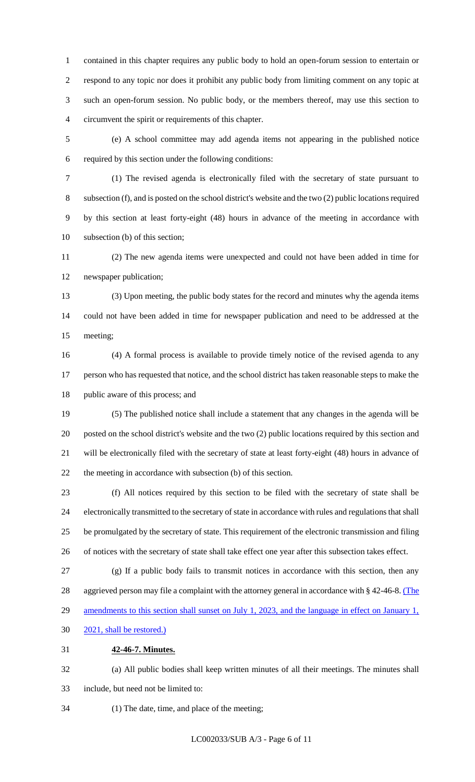contained in this chapter requires any public body to hold an open-forum session to entertain or respond to any topic nor does it prohibit any public body from limiting comment on any topic at such an open-forum session. No public body, or the members thereof, may use this section to circumvent the spirit or requirements of this chapter.

 (e) A school committee may add agenda items not appearing in the published notice required by this section under the following conditions:

 (1) The revised agenda is electronically filed with the secretary of state pursuant to subsection (f), and is posted on the school district's website and the two (2) public locations required by this section at least forty-eight (48) hours in advance of the meeting in accordance with subsection (b) of this section;

 (2) The new agenda items were unexpected and could not have been added in time for newspaper publication;

 (3) Upon meeting, the public body states for the record and minutes why the agenda items could not have been added in time for newspaper publication and need to be addressed at the meeting;

 (4) A formal process is available to provide timely notice of the revised agenda to any person who has requested that notice, and the school district has taken reasonable steps to make the public aware of this process; and

 (5) The published notice shall include a statement that any changes in the agenda will be posted on the school district's website and the two (2) public locations required by this section and will be electronically filed with the secretary of state at least forty-eight (48) hours in advance of the meeting in accordance with subsection (b) of this section.

 (f) All notices required by this section to be filed with the secretary of state shall be electronically transmitted to the secretary of state in accordance with rules and regulations that shall be promulgated by the secretary of state. This requirement of the electronic transmission and filing of notices with the secretary of state shall take effect one year after this subsection takes effect.

 (g) If a public body fails to transmit notices in accordance with this section, then any 28 aggrieved person may file a complaint with the attorney general in accordance with § 42-46-8. (The 29 amendments to this section shall sunset on July 1, 2023, and the language in effect on January 1,

2021, shall be restored.)

#### **42-46-7. Minutes.**

 (a) All public bodies shall keep written minutes of all their meetings. The minutes shall include, but need not be limited to:

(1) The date, time, and place of the meeting;

LC002033/SUB A/3 - Page 6 of 11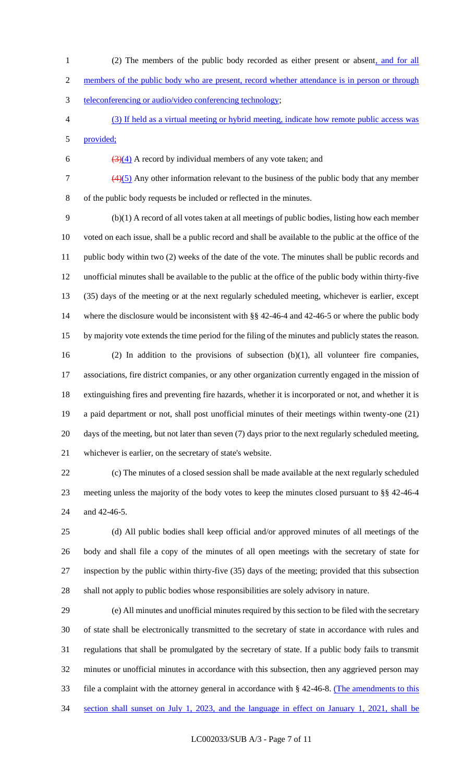1 (2) The members of the public body recorded as either present or absent, and for all 2 members of the public body who are present, record whether attendance is in person or through teleconferencing or audio/video conferencing technology; (3) If held as a virtual meeting or hybrid meeting, indicate how remote public access was

provided;

6  $\left(\frac{3}{4}\right)$  A record by individual members of any vote taken; and

 $\frac{(4)(5)}{2}$  Any other information relevant to the business of the public body that any member of the public body requests be included or reflected in the minutes.

 (b)(1) A record of all votes taken at all meetings of public bodies, listing how each member voted on each issue, shall be a public record and shall be available to the public at the office of the public body within two (2) weeks of the date of the vote. The minutes shall be public records and unofficial minutes shall be available to the public at the office of the public body within thirty-five (35) days of the meeting or at the next regularly scheduled meeting, whichever is earlier, except 14 where the disclosure would be inconsistent with §§ 42-46-4 and 42-46-5 or where the public body by majority vote extends the time period for the filing of the minutes and publicly states the reason. (2) In addition to the provisions of subsection (b)(1), all volunteer fire companies, associations, fire district companies, or any other organization currently engaged in the mission of extinguishing fires and preventing fire hazards, whether it is incorporated or not, and whether it is a paid department or not, shall post unofficial minutes of their meetings within twenty-one (21) days of the meeting, but not later than seven (7) days prior to the next regularly scheduled meeting, whichever is earlier, on the secretary of state's website.

 (c) The minutes of a closed session shall be made available at the next regularly scheduled meeting unless the majority of the body votes to keep the minutes closed pursuant to §§ 42-46-4 and 42-46-5.

 (d) All public bodies shall keep official and/or approved minutes of all meetings of the body and shall file a copy of the minutes of all open meetings with the secretary of state for inspection by the public within thirty-five (35) days of the meeting; provided that this subsection shall not apply to public bodies whose responsibilities are solely advisory in nature.

 (e) All minutes and unofficial minutes required by this section to be filed with the secretary of state shall be electronically transmitted to the secretary of state in accordance with rules and regulations that shall be promulgated by the secretary of state. If a public body fails to transmit minutes or unofficial minutes in accordance with this subsection, then any aggrieved person may file a complaint with the attorney general in accordance with § 42-46-8. (The amendments to this section shall sunset on July 1, 2023, and the language in effect on January 1, 2021, shall be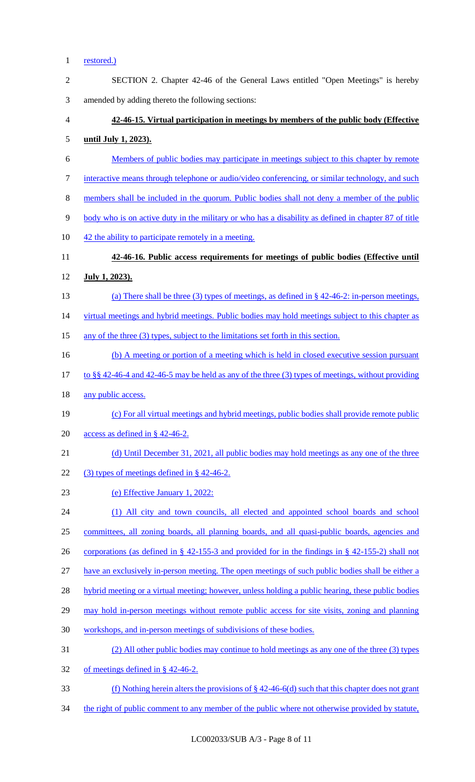### 1 <u>restored.</u>)

| $\mathbf{2}$   | SECTION 2. Chapter 42-46 of the General Laws entitled "Open Meetings" is hereby                        |
|----------------|--------------------------------------------------------------------------------------------------------|
| $\mathfrak{Z}$ | amended by adding thereto the following sections:                                                      |
| $\overline{4}$ | 42-46-15. Virtual participation in meetings by members of the public body (Effective                   |
| 5              | <u>until July 1, 2023).</u>                                                                            |
| 6              | Members of public bodies may participate in meetings subject to this chapter by remote                 |
| $\tau$         | interactive means through telephone or audio/video conferencing, or similar technology, and such       |
| $\,8\,$        | members shall be included in the quorum. Public bodies shall not deny a member of the public           |
| 9              | body who is on active duty in the military or who has a disability as defined in chapter 87 of title   |
| 10             | 42 the ability to participate remotely in a meeting.                                                   |
| 11             | 42-46-16. Public access requirements for meetings of public bodies (Effective until                    |
| 12             | <u>July 1, 2023).</u>                                                                                  |
| 13             | (a) There shall be three (3) types of meetings, as defined in $\S$ 42-46-2: in-person meetings,        |
| 14             | virtual meetings and hybrid meetings. Public bodies may hold meetings subject to this chapter as       |
| 15             | any of the three (3) types, subject to the limitations set forth in this section.                      |
| 16             | (b) A meeting or portion of a meeting which is held in closed executive session pursuant               |
| 17             | to §§ 42-46-4 and 42-46-5 may be held as any of the three $(3)$ types of meetings, without providing   |
| 18             | any public access.                                                                                     |
| 19             | (c) For all virtual meetings and hybrid meetings, public bodies shall provide remote public            |
| 20             | access as defined in $\S$ 42-46-2.                                                                     |
| 21             | (d) Until December 31, 2021, all public bodies may hold meetings as any one of the three               |
| 22             | $(3)$ types of meetings defined in § 42-46-2.                                                          |
| 23             | (e) Effective January 1, 2022:                                                                         |
| 24             | (1) All city and town councils, all elected and appointed school boards and school                     |
| 25             | committees, all zoning boards, all planning boards, and all quasi-public boards, agencies and          |
| 26             | corporations (as defined in $\S$ 42-155-3 and provided for in the findings in $\S$ 42-155-2) shall not |
| 27             | have an exclusively in-person meeting. The open meetings of such public bodies shall be either a       |
| 28             | hybrid meeting or a virtual meeting; however, unless holding a public hearing, these public bodies     |
| 29             | may hold in-person meetings without remote public access for site visits, zoning and planning          |
| 30             | workshops, and in-person meetings of subdivisions of these bodies.                                     |
| 31             | (2) All other public bodies may continue to hold meetings as any one of the three (3) types            |
| 32             | of meetings defined in $\S$ 42-46-2.                                                                   |
| 33             | (f) Nothing herein alters the provisions of $\S 42-46-6(d)$ such that this chapter does not grant      |
| 34             | the right of public comment to any member of the public where not otherwise provided by statute,       |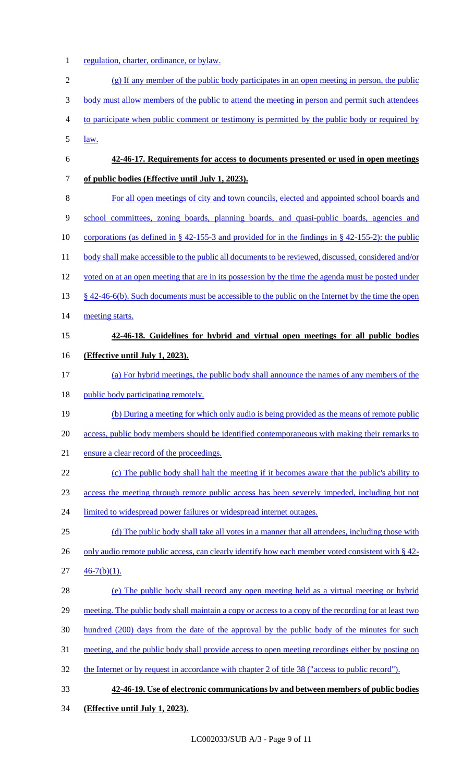1 regulation, charter, ordinance, or bylaw.

| $\overline{2}$           | $(g)$ If any member of the public body participates in an open meeting in person, the public             |
|--------------------------|----------------------------------------------------------------------------------------------------------|
| 3                        | body must allow members of the public to attend the meeting in person and permit such attendees          |
| $\overline{\mathcal{A}}$ | to participate when public comment or testimony is permitted by the public body or required by           |
| 5                        | law.                                                                                                     |
| 6                        | 42-46-17. Requirements for access to documents presented or used in open meetings                        |
| 7                        | of public bodies (Effective until July 1, 2023).                                                         |
| $\,8\,$                  | For all open meetings of city and town councils, elected and appointed school boards and                 |
| $\mathbf{9}$             | school committees, zoning boards, planning boards, and quasi-public boards, agencies and                 |
| 10                       | corporations (as defined in $\S$ 42-155-3 and provided for in the findings in $\S$ 42-155-2): the public |
| 11                       | body shall make accessible to the public all documents to be reviewed, discussed, considered and/or      |
| 12                       | voted on at an open meeting that are in its possession by the time the agenda must be posted under       |
| 13                       | $\S$ 42-46-6(b). Such documents must be accessible to the public on the Internet by the time the open    |
| 14                       | meeting starts.                                                                                          |
| 15                       | 42-46-18. Guidelines for hybrid and virtual open meetings for all public bodies                          |
| 16                       | (Effective until July 1, 2023).                                                                          |
| 17                       | (a) For hybrid meetings, the public body shall announce the names of any members of the                  |
| 18                       | public body participating remotely.                                                                      |
| 19                       | (b) During a meeting for which only audio is being provided as the means of remote public                |
| 20                       | access, public body members should be identified contemporaneous with making their remarks to            |
| 21                       | ensure a clear record of the proceedings.                                                                |
| 22                       | (c) The public body shall halt the meeting if it becomes aware that the public's ability to              |
| 23                       | access the meeting through remote public access has been severely impeded, including but not             |
| 24                       | limited to widespread power failures or widespread internet outages.                                     |
| 25                       | (d) The public body shall take all votes in a manner that all attendees, including those with            |
| 26                       | only audio remote public access, can clearly identify how each member voted consistent with $\S$ 42-     |
| 27                       | $46-7(b)(1)$ .                                                                                           |
| 28                       | (e) The public body shall record any open meeting held as a virtual meeting or hybrid                    |
| 29                       | meeting. The public body shall maintain a copy or access to a copy of the recording for at least two     |
| 30                       | hundred (200) days from the date of the approval by the public body of the minutes for such              |
| 31                       | meeting, and the public body shall provide access to open meeting recordings either by posting on        |
| 32                       | the Internet or by request in accordance with chapter 2 of title 38 ("access to public record").         |
| 33                       | 42-46-19. Use of electronic communications by and between members of public bodies                       |
| 34                       | (Effective until July 1, 2023).                                                                          |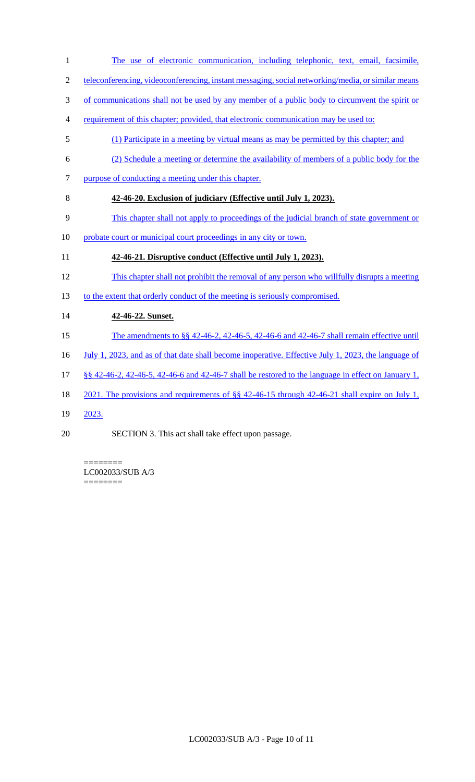- The use of electronic communication, including telephonic, text, email, facsimile, teleconferencing, videoconferencing, instant messaging, social networking/media, or similar means of communications shall not be used by any member of a public body to circumvent the spirit or requirement of this chapter; provided, that electronic communication may be used to: (1) Participate in a meeting by virtual means as may be permitted by this chapter; and (2) Schedule a meeting or determine the availability of members of a public body for the purpose of conducting a meeting under this chapter. **42-46-20. Exclusion of judiciary (Effective until July 1, 2023).**  This chapter shall not apply to proceedings of the judicial branch of state government or 10 probate court or municipal court proceedings in any city or town. **42-46-21. Disruptive conduct (Effective until July 1, 2023).**  This chapter shall not prohibit the removal of any person who willfully disrupts a meeting 13 to the extent that orderly conduct of the meeting is seriously compromised. **42-46-22. Sunset.**  15 The amendments to §§ 42-46-2, 42-46-5, 42-46-6 and 42-46-7 shall remain effective until 16 July 1, 2023, and as of that date shall become inoperative. Effective July 1, 2023, the language of §§ 42-46-2, 42-46-5, 42-46-6 and 42-46-7 shall be restored to the language in effect on January 1, 2021. The provisions and requirements of §§ 42-46-15 through 42-46-21 shall expire on July 1, 2023.
- SECTION 3. This act shall take effect upon passage.

======== LC002033/SUB A/3 ========